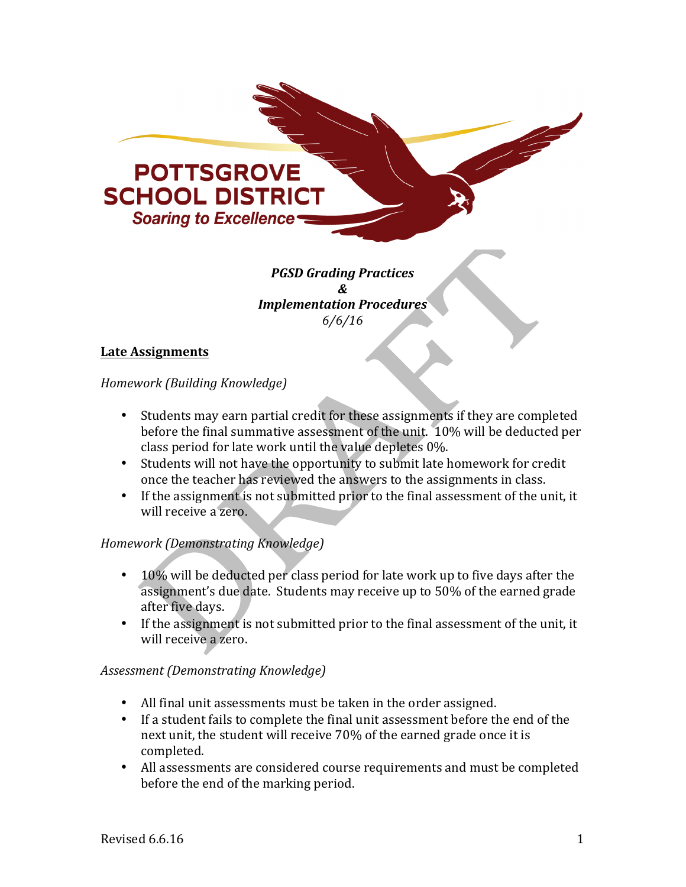

*PGSD Grading Practices & Implementation Procedures 6/6/16*

## **Late Assignments**

*Homework (Building Knowledge)*

- Students may earn partial credit for these assignments if they are completed before the final summative assessment of the unit. 10% will be deducted per class period for late work until the value depletes 0%.
- Students will not have the opportunity to submit late homework for credit once the teacher has reviewed the answers to the assignments in class.
- If the assignment is not submitted prior to the final assessment of the unit, it will receive a zero.

## *Homework (Demonstrating Knowledge)*

- 10% will be deducted per class period for late work up to five days after the assignment's due date. Students may receive up to 50% of the earned grade after five days.
- If the assignment is not submitted prior to the final assessment of the unit, it will receive a zero.

## *Assessment (Demonstrating Knowledge)*

- All final unit assessments must be taken in the order assigned.
- If a student fails to complete the final unit assessment before the end of the next unit, the student will receive 70% of the earned grade once it is completed.
- All assessments are considered course requirements and must be completed before the end of the marking period.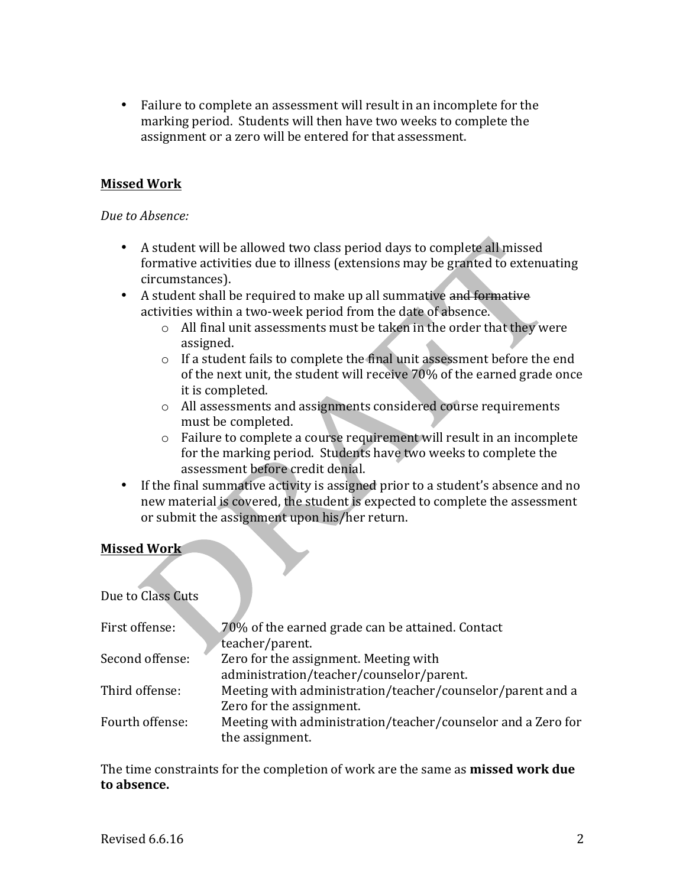• Failure to complete an assessment will result in an incomplete for the marking period. Students will then have two weeks to complete the assignment or a zero will be entered for that assessment.

## **Missed Work**

### Due to Absence:

- A student will be allowed two class period days to complete all missed formative activities due to illness (extensions may be granted to extenuating circumstances).
- A student shall be required to make up all summative and formative activities within a two-week period from the date of absence.
	- $\circ$  All final unit assessments must be taken in the order that they were assigned.
	- $\circ$  If a student fails to complete the final unit assessment before the end of the next unit, the student will receive  $70\%$  of the earned grade once it is completed.
	- o All assessments and assignments considered course requirements must be completed.
	- $\circ$  Failure to complete a course requirement will result in an incomplete for the marking period. Students have two weeks to complete the assessment before credit denial.
- If the final summative activity is assigned prior to a student's absence and no new material is covered, the student is expected to complete the assessment or submit the assignment upon his/her return.

## **Missed Work**

Due to Class Cuts

| First offense:  | 70% of the earned grade can be attained. Contact             |
|-----------------|--------------------------------------------------------------|
|                 | teacher/parent.                                              |
| Second offense: | Zero for the assignment. Meeting with                        |
|                 | administration/teacher/counselor/parent.                     |
| Third offense:  | Meeting with administration/teacher/counselor/parent and a   |
|                 | Zero for the assignment.                                     |
| Fourth offense: | Meeting with administration/teacher/counselor and a Zero for |
|                 | the assignment.                                              |

The time constraints for the completion of work are the same as **missed work due to absence.**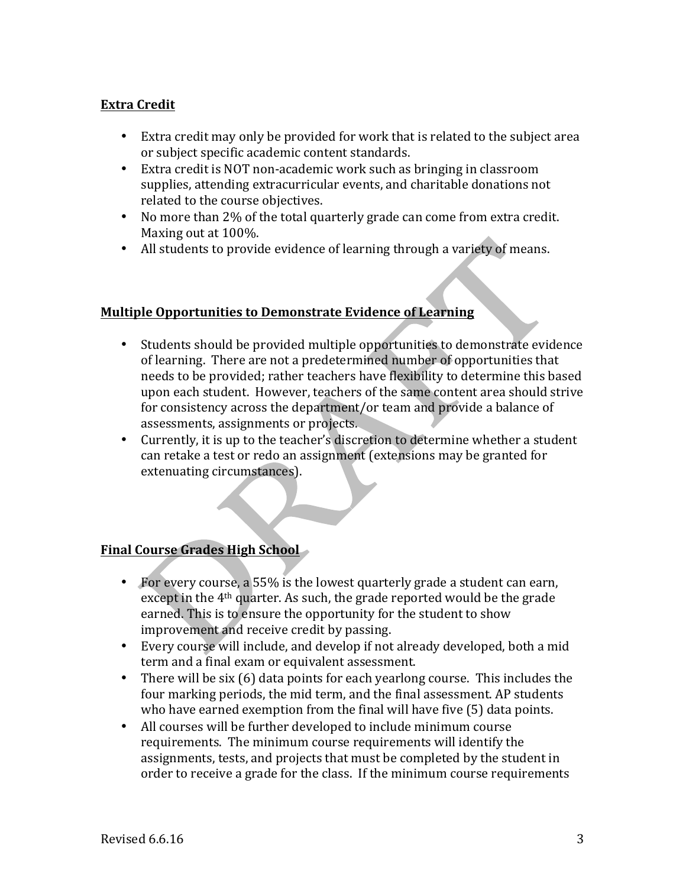## **Extra Credit**

- Extra credit may only be provided for work that is related to the subject area or subject specific academic content standards.
- Extra credit is NOT non-academic work such as bringing in classroom supplies, attending extracurricular events, and charitable donations not related to the course objectives.
- No more than 2% of the total quarterly grade can come from extra credit. Maxing out at 100%.
- All students to provide evidence of learning through a variety of means.

## **Multiple Opportunities to Demonstrate Evidence of Learning**

- Students should be provided multiple opportunities to demonstrate evidence of learning. There are not a predetermined number of opportunities that needs to be provided; rather teachers have flexibility to determine this based upon each student. However, teachers of the same content area should strive for consistency across the department/or team and provide a balance of assessments, assignments or projects.
- Currently, it is up to the teacher's discretion to determine whether a student can retake a test or redo an assignment (extensions may be granted for extenuating circumstances).

## **Final Course Grades High School**

- For every course, a 55% is the lowest quarterly grade a student can earn, except in the  $4<sup>th</sup>$  quarter. As such, the grade reported would be the grade earned. This is to ensure the opportunity for the student to show improvement and receive credit by passing.
- Every course will include, and develop if not already developed, both a mid term and a final exam or equivalent assessment.
- There will be six  $(6)$  data points for each yearlong course. This includes the four marking periods, the mid term, and the final assessment. AP students who have earned exemption from the final will have five (5) data points.
- All courses will be further developed to include minimum course requirements. The minimum course requirements will identify the assignments, tests, and projects that must be completed by the student in order to receive a grade for the class. If the minimum course requirements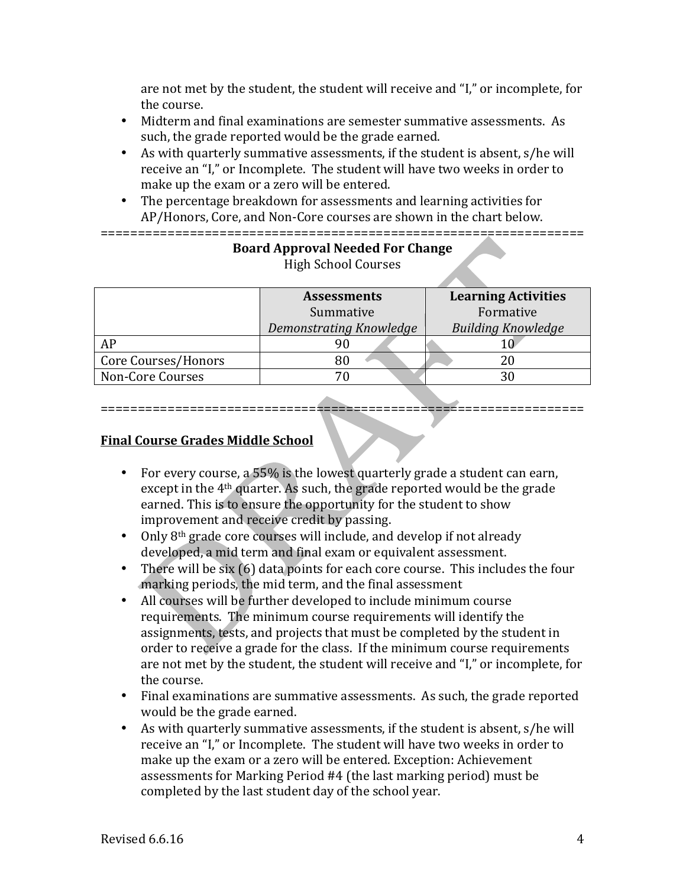are not met by the student, the student will receive and "I," or incomplete, for the course.

- Midterm and final examinations are semester summative assessments. As such, the grade reported would be the grade earned.
- As with quarterly summative assessments, if the student is absent, s/he will receive an "I," or Incomplete. The student will have two weeks in order to make up the exam or a zero will be entered.
- The percentage breakdown for assessments and learning activities for AP/Honors, Core, and Non-Core courses are shown in the chart below. =================================================================

|                     | <b>Assessments</b>      | <b>Learning Activities</b> |
|---------------------|-------------------------|----------------------------|
|                     | Summative               | Formative                  |
|                     | Demonstrating Knowledge | <b>Building Knowledge</b>  |
| AP                  | 90                      |                            |
| Core Courses/Honors |                         | 20                         |
| Non-Core Courses    |                         | 30                         |

### **Board Approval Needed For Change** High School Courses

# =================================================================

## **Final Course Grades Middle School**

- For every course, a  $55\%$  is the lowest quarterly grade a student can earn, except in the  $4<sup>th</sup>$  quarter. As such, the grade reported would be the grade earned. This is to ensure the opportunity for the student to show improvement and receive credit by passing.
- Only  $8<sup>th</sup>$  grade core courses will include, and develop if not already developed, a mid term and final exam or equivalent assessment.
- There will be six  $(6)$  data points for each core course. This includes the four marking periods, the mid term, and the final assessment
- All courses will be further developed to include minimum course requirements. The minimum course requirements will identify the assignments, tests, and projects that must be completed by the student in order to receive a grade for the class. If the minimum course requirements are not met by the student, the student will receive and "I," or incomplete, for the course.
- Final examinations are summative assessments. As such, the grade reported would be the grade earned.
- As with quarterly summative assessments, if the student is absent, s/he will receive an "I," or Incomplete. The student will have two weeks in order to make up the exam or a zero will be entered. Exception: Achievement assessments for Marking Period #4 (the last marking period) must be completed by the last student day of the school year.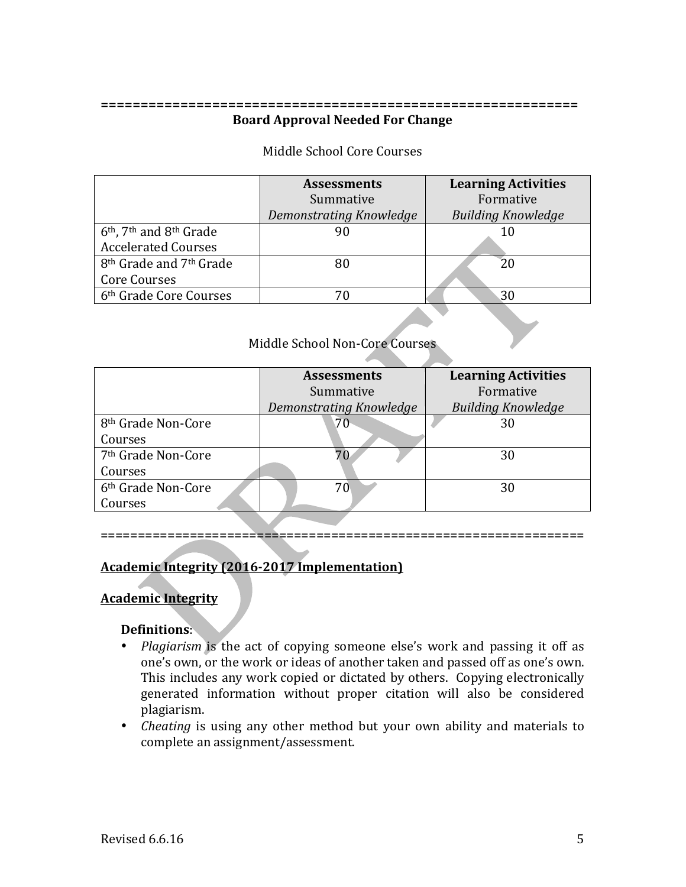### **============================================================ Board Approval Needed For Change**

### Middle School Core Courses

|                                                   | <b>Assessments</b>      | <b>Learning Activities</b> |
|---------------------------------------------------|-------------------------|----------------------------|
|                                                   | Summative               | Formative                  |
|                                                   | Demonstrating Knowledge | <b>Building Knowledge</b>  |
| $6th$ , 7 <sup>th</sup> and 8 <sup>th</sup> Grade |                         | 10                         |
| <b>Accelerated Courses</b>                        |                         |                            |
| 8 <sup>th</sup> Grade and 7 <sup>th</sup> Grade   |                         | 20                         |
| Core Courses                                      |                         |                            |
| 6 <sup>th</sup> Grade Core Courses                |                         | 30                         |

### Middle School Non-Core Courses

|                                | <b>Assessments</b>      | <b>Learning Activities</b> |  |
|--------------------------------|-------------------------|----------------------------|--|
|                                | Summative               | Formative                  |  |
|                                | Demonstrating Knowledge | <b>Building Knowledge</b>  |  |
| 8 <sup>th</sup> Grade Non-Core | 70 <sup>°</sup>         | 30                         |  |
| Courses                        |                         |                            |  |
| 7 <sup>th</sup> Grade Non-Core |                         | 30                         |  |
| Courses                        |                         |                            |  |
| 6 <sup>th</sup> Grade Non-Core | 70                      | 30                         |  |
| Courses                        |                         |                            |  |

#### =================================================================

## **Academic Integrity (2016-2017 Implementation)**

### **Academic Integrity**

### **Definitions**:

- *Plagiarism* is the act of copying someone else's work and passing it off as one's own, or the work or ideas of another taken and passed off as one's own. This includes any work copied or dictated by others. Copying electronically generated information without proper citation will also be considered plagiarism.
- *Cheating* is using any other method but your own ability and materials to complete an assignment/assessment.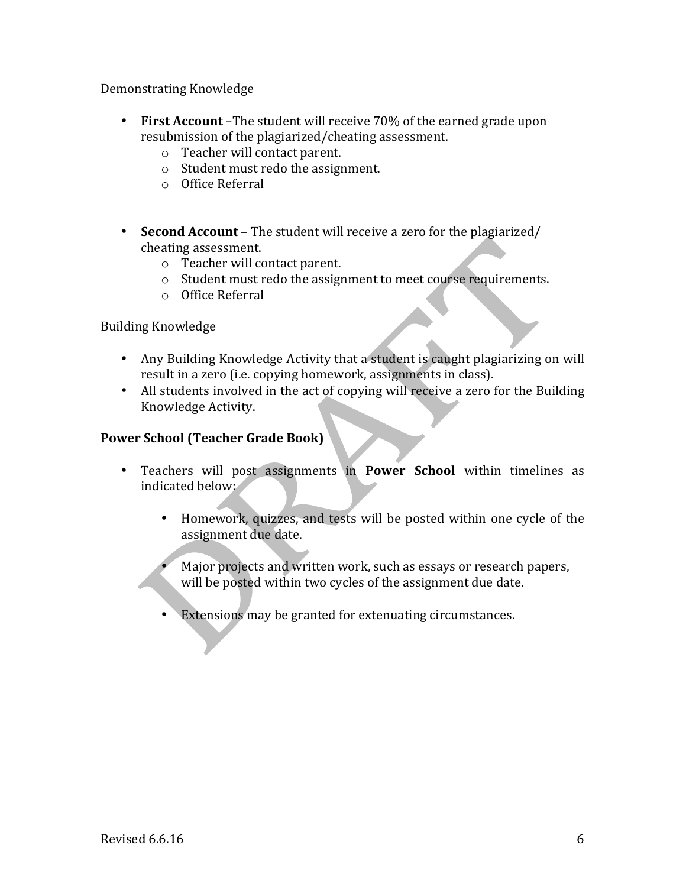Demonstrating Knowledge

- First Account –The student will receive 70% of the earned grade upon resubmission of the plagiarized/cheating assessment.
	- o Teacher will contact parent.
	- $\circ$  Student must redo the assignment.
	- o Office Referral
- **Second Account** The student will receive a zero for the plagiarized/ cheating assessment.
	- $\circ$  Teacher will contact parent.
	- $\circ$  Student must redo the assignment to meet course requirements.
	- o Office Referral

**Building Knowledge** 

- Any Building Knowledge Activity that a student is caught plagiarizing on will result in a zero (i.e. copying homework, assignments in class).
- All students involved in the act of copying will receive a zero for the Building Knowledge Activity.

## **Power School (Teacher Grade Book)**

- Teachers will post assignments in **Power School** within timelines as indicated below:
	- Homework, quizzes, and tests will be posted within one cycle of the assignment due date.
	- Major projects and written work, such as essays or research papers, will be posted within two cycles of the assignment due date.
	- Extensions may be granted for extenuating circumstances.